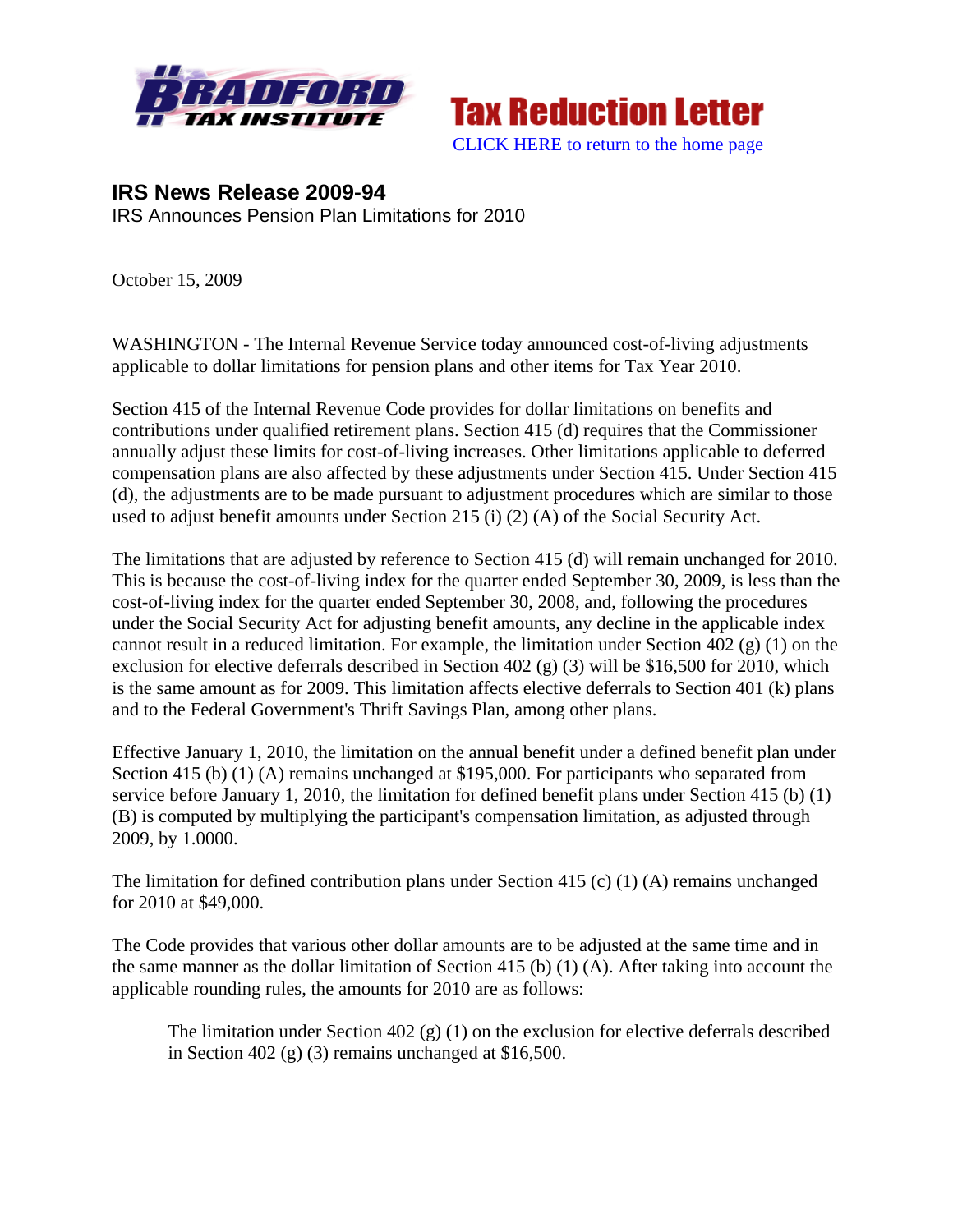



**IRS News Release 2009-94**  IRS Announces Pension Plan Limitations for 2010

October 15, 2009

WASHINGTON - The Internal Revenue Service today announced cost-of-living adjustments applicable to dollar limitations for pension plans and other items for Tax Year 2010.

Section 415 of the Internal Revenue Code provides for dollar limitations on benefits and contributions under qualified retirement plans. Section 415 (d) requires that the Commissioner annually adjust these limits for cost-of-living increases. Other limitations applicable to deferred compensation plans are also affected by these adjustments under Section 415. Under Section 415 (d), the adjustments are to be made pursuant to adjustment procedures which are similar to those used to adjust benefit amounts under Section 215 (i) (2) (A) of the Social Security Act.

The limitations that are adjusted by reference to Section 415 (d) will remain unchanged for 2010. This is because the cost-of-living index for the quarter ended September 30, 2009, is less than the cost-of-living index for the quarter ended September 30, 2008, and, following the procedures under the Social Security Act for adjusting benefit amounts, any decline in the applicable index cannot result in a reduced limitation. For example, the limitation under Section  $\overline{402}$  (g) (1) on the exclusion for elective deferrals described in Section 402 (g) (3) will be \$16,500 for 2010, which is the same amount as for 2009. This limitation affects elective deferrals to Section 401 (k) plans and to the Federal Government's Thrift Savings Plan, among other plans.

Effective January 1, 2010, the limitation on the annual benefit under a defined benefit plan under Section 415 (b) (1) (A) remains unchanged at \$195,000. For participants who separated from service before January 1, 2010, the limitation for defined benefit plans under Section 415 (b) (1) (B) is computed by multiplying the participant's compensation limitation, as adjusted through 2009, by 1.0000.

The limitation for defined contribution plans under Section 415 (c) (1) (A) remains unchanged for 2010 at \$49,000.

The Code provides that various other dollar amounts are to be adjusted at the same time and in the same manner as the dollar limitation of Section 415 (b) (1) (A). After taking into account the applicable rounding rules, the amounts for 2010 are as follows:

The limitation under Section 402 (g) (1) on the exclusion for elective deferrals described in Section 402 (g) (3) remains unchanged at  $$16,500$ .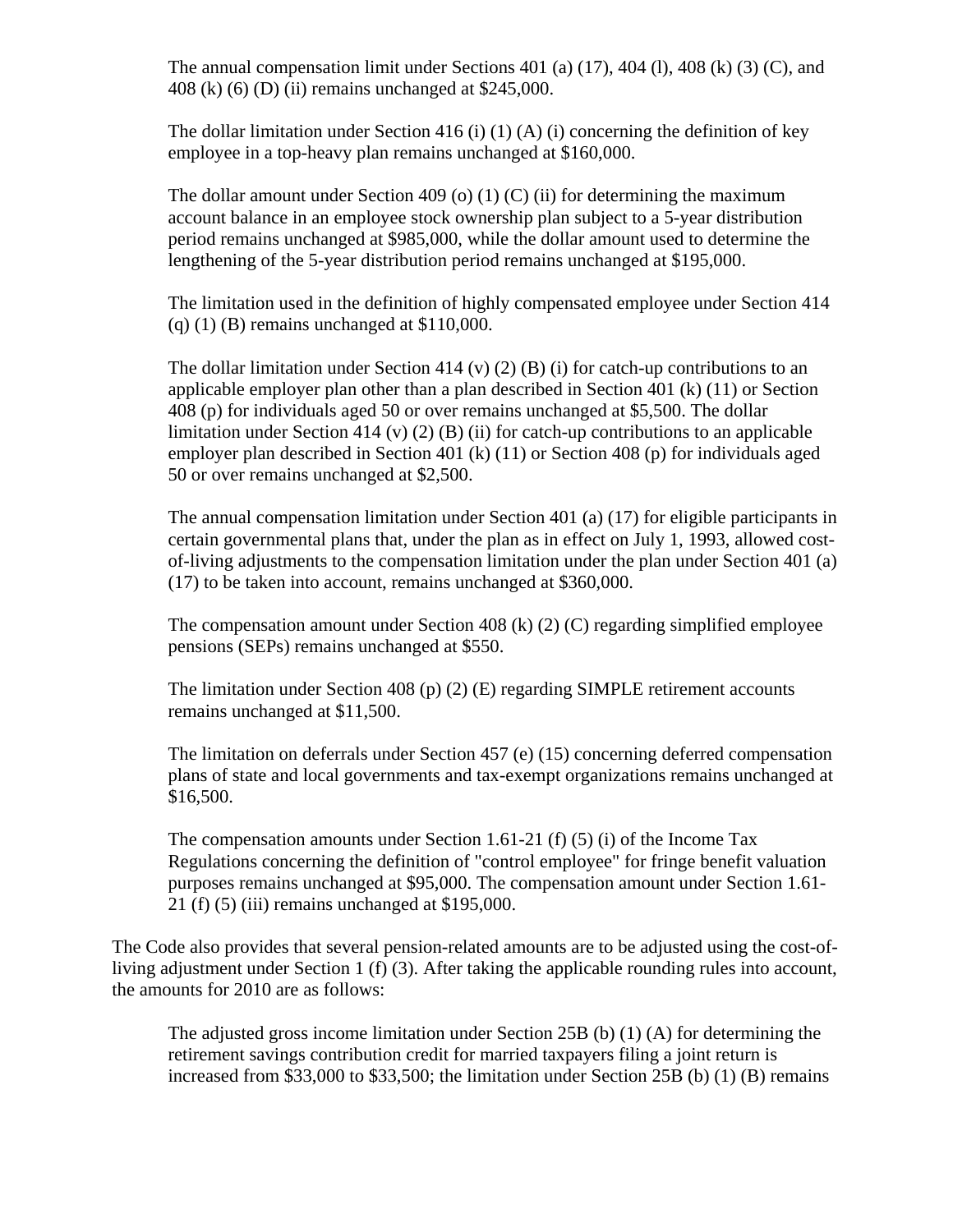The annual compensation limit under Sections 401 (a)  $(17)$ , 404 (l), 408 (k)  $(3)$  (C), and 408 (k) (6) (D) (ii) remains unchanged at \$245,000.

The dollar limitation under Section 416 (i)  $(1)$  (A) (i) concerning the definition of key employee in a top-heavy plan remains unchanged at \$160,000.

The dollar amount under Section 409 (o)  $(1)$  (C) (ii) for determining the maximum account balance in an employee stock ownership plan subject to a 5-year distribution period remains unchanged at \$985,000, while the dollar amount used to determine the lengthening of the 5-year distribution period remains unchanged at \$195,000.

The limitation used in the definition of highly compensated employee under Section 414 (q) (1) (B) remains unchanged at \$110,000.

The dollar limitation under Section 414 (v) (2) (B) (i) for catch-up contributions to an applicable employer plan other than a plan described in Section 401 (k) (11) or Section 408 (p) for individuals aged 50 or over remains unchanged at \$5,500. The dollar limitation under Section 414 (v) (2) (B) (ii) for catch-up contributions to an applicable employer plan described in Section 401 (k) (11) or Section 408 (p) for individuals aged 50 or over remains unchanged at \$2,500.

The annual compensation limitation under Section 401 (a) (17) for eligible participants in certain governmental plans that, under the plan as in effect on July 1, 1993, allowed costof-living adjustments to the compensation limitation under the plan under Section 401 (a) (17) to be taken into account, remains unchanged at \$360,000.

The compensation amount under Section 408 (k) (2) (C) regarding simplified employee pensions (SEPs) remains unchanged at \$550.

The limitation under Section 408 (p) (2) (E) regarding SIMPLE retirement accounts remains unchanged at \$11,500.

The limitation on deferrals under Section 457 (e) (15) concerning deferred compensation plans of state and local governments and tax-exempt organizations remains unchanged at \$16,500.

The compensation amounts under Section 1.61-21 (f) (5) (i) of the Income Tax Regulations concerning the definition of "control employee" for fringe benefit valuation purposes remains unchanged at \$95,000. The compensation amount under Section 1.61- 21 (f) (5) (iii) remains unchanged at \$195,000.

The Code also provides that several pension-related amounts are to be adjusted using the cost-ofliving adjustment under Section 1 (f) (3). After taking the applicable rounding rules into account, the amounts for 2010 are as follows:

The adjusted gross income limitation under Section 25B (b) (1) (A) for determining the retirement savings contribution credit for married taxpayers filing a joint return is increased from \$33,000 to \$33,500; the limitation under Section 25B (b) (1) (B) remains